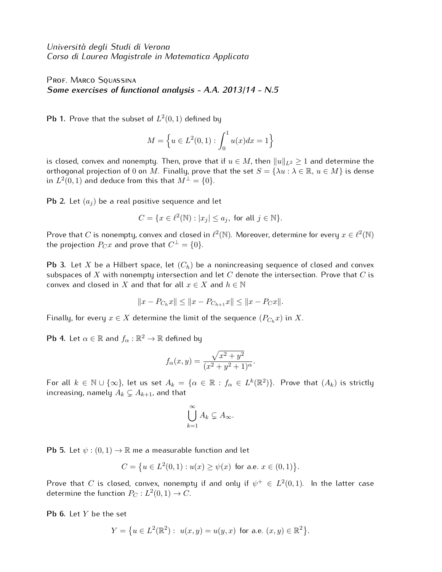*Universit`a degli Studi di Verona Corso di Laurea Magistrale in Matematica Applicata*

PROF. MARCO SQUASSINA *Some exercises of functional analysis - A.A. 2013/14 - N.5*

**Pb 1.** Prove that the subset of  $L^2(0,1)$  defined by

$$
M = \left\{ u \in L^2(0,1) : \int_0^1 u(x) dx = 1 \right\}
$$

is closed, convex and nonempty. Then, prove that if  $u \in M$ , then  $||u||_{L^2} \geq 1$  and determine the orthogonal projection of 0 on *M*. Finally, prove that the set  $S = \{\lambda u : \lambda \in \mathbb{R}, u \in M\}$  is dense  $L^2(0,1)$  and deduce from this that  $M^\perp=\{0\}.$ 

**Pb 2.** Let  $(a_i)$  be a real positive sequence and let

$$
C = \{ x \in \ell^2(\mathbb{N}) : |x_j| \le a_j, \text{ for all } j \in \mathbb{N} \}.
$$

Prove that  $C$  is nonempty, convex and closed in  $\ell^2(\mathbb{N}).$  Moreover, determine for every  $x\in\ell^2(\mathbb{N})$ the projection  $P_Cx$  and prove that  $C^{\perp} = \{0\}.$ 

**Pb 3.** Let *X* be a Hilbert space, let (*Ch*) be a nonincreasing sequence of closed and convex subspaces of *X* with nonempty intersection and let *C* denote the intersection. Prove that *C* is convex and closed in *X* and that for all  $x \in X$  and  $h \in \mathbb{N}$ 

$$
||x - P_{C_h}x|| \le ||x - P_{C_{h+1}}x|| \le ||x - P_Cx||.
$$

Finally, for every  $x \in X$  determine the limit of the sequence  $(P_{C_h}x)$  in X.

**Pb 4.** Let  $\alpha \in \mathbb{R}$  and  $f_{\alpha} : \mathbb{R}^2 \to \mathbb{R}$  defined by

$$
f_{\alpha}(x,y) = \frac{\sqrt{x^2 + y^2}}{(x^2 + y^2 + 1)^{\alpha}}.
$$

 $\forall$  For all  $k \in \mathbb{N} \cup \{\infty\}$ , let us set  $A_k = \{\alpha \in \mathbb{R} : f_\alpha \in L^k(\mathbb{R}^2)\}$ . Prove that  $(A_k)$  is strictly increasing, namely  $A_k \subsetneq A_{k+1}$ , and that

$$
\bigcup_{k=1}^{\infty} A_k \subsetneq A_{\infty}.
$$

**Pb 5.** Let  $\psi$  :  $(0,1) \rightarrow \mathbb{R}$  me a measurable function and let

$$
C = \{ u \in L^2(0,1) : u(x) \ge \psi(x) \text{ for a.e. } x \in (0,1) \}.
$$

Prove that  $C$  is closed, convex, nonempty if and only if  $\psi^+ \, \in \, L^2(0,1).$  In the latter case determine the function  $P_C: L^2(0,1) \rightarrow C.$ 

**Pb 6.** Let *Y* be the set

$$
Y = \{ u \in L^2(\mathbb{R}^2) : u(x, y) = u(y, x) \text{ for a.e. } (x, y) \in \mathbb{R}^2 \}.
$$